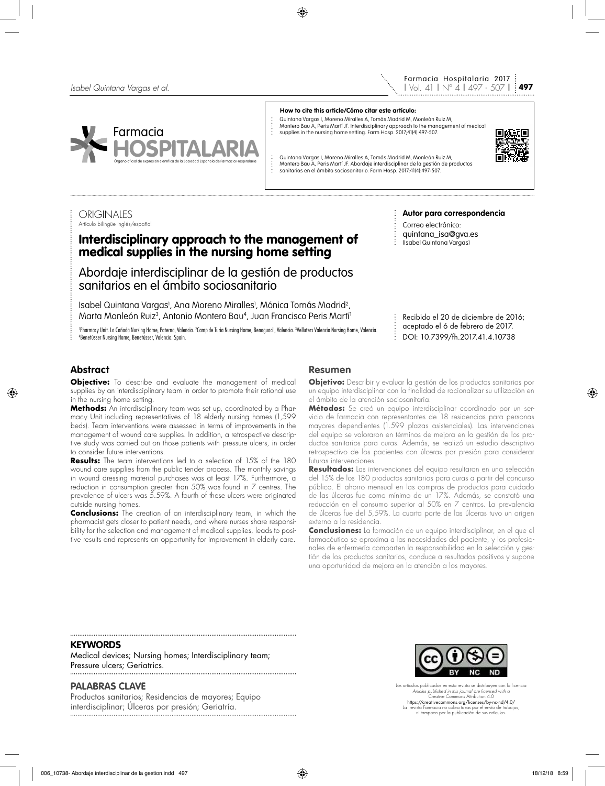



#### **How to cite this article/Cómo citar este artículo:**

- Quintana Vargas I, Moreno Miralles A, Tomás Madrid M, Monleón Ruiz M,
- Montero Bau A, Peris Martí JF. Interdisciplinary approach to the management of medical supplies in the nursing home setting. Farm Hosp. 2017;41(4):497-507.

Quintana Vargas I, Moreno Miralles A, Tomás Madrid M, Monleón Ruiz M, Montero Bau A, Peris Martí JF. Abordaje interdisciplinar de la gestión de productos sanitarios en el ámbito sociosanitario. Farm Hosp. 2017;41(4):497-507.

#### **ORIGINALES** Artículo bilingüe inglés/español

# Interdisciplinary approach to the management of medical supplies in the nursing home setting

Abordaje interdisciplinar de la gestión de productos sanitarios en el ámbito sociosanitario

Isabel Quintana Vargas<sup>,</sup>, Ana Moreno Miralles<sup>,</sup>, Mónica Tomás Madrid<sup>2</sup>, Marta Monleón Ruiz<sup>3</sup>, Antonio Montero Bau<sup>4</sup>, Juan Francisco Peris Martí<sup>1</sup>

'Pharmacy Unit. La Cañada Nursing Home, Paterna, Valencia. ¿Camp de Turia Nursing Home, Benaguacil, Valencia. Velluters Valencia Nursing Home, Valencia.<br>«Renetússer Nursing Home. Renetússer. Valencia. Spain. Benetússer Nursing Home, Benetússer, Valencia. Spain.

#### **Autor para correspondencia**

Correo electrónico: quintana\_isa@gva.es (Isabel Quintana Vargas)

Recibido el 20 de diciembre de 2016; aceptado el 6 de febrero de 2017. DOI: 10.7399/fh.2017.41.4.10738

# **Abstract**

**Objective:** To describe and evaluate the management of medical supplies by an interdisciplinary team in order to promote their rational use in the nursing home setting.

**Methods:** An interdisciplinary team was set up, coordinated by a Pharmacy Unit including representatives of 18 elderly nursing homes (1,599 beds). Team interventions were assessed in terms of improvements in the management of wound care supplies. In addition, a retrospective descriptive study was carried out on those patients with pressure ulcers, in order to consider future interventions.

**Results:** The team interventions led to a selection of 15% of the 180 wound care supplies from the public tender process. The monthly savings in wound dressing material purchases was at least 17%. Furthermore, a reduction in consumption greater than 50% was found in 7 centres. The prevalence of ulcers was 5.59%. A fourth of these ulcers were originated outside nursing homes.

**Conclusions:** The creation of an interdisciplinary team, in which the pharmacist gets closer to patient needs, and where nurses share responsibility for the selection and management of medical supplies, leads to positive results and represents an opportunity for improvement in elderly care.

### **Resumen**

**Objetivo:** Describir y evaluar la gestión de los productos sanitarios por un equipo interdisciplinar con la finalidad de racionalizar su utilización en el ámbito de la atención sociosanitaria.

**Métodos:** Se creó un equipo interdisciplinar coordinado por un servicio de farmacia con representantes de 18 residencias para personas mayores dependientes (1.599 plazas asistenciales). Las intervenciones del equipo se valoraron en términos de mejora en la gestión de los productos sanitarios para curas. Además, se realizó un estudio descriptivo retrospectivo de los pacientes con úlceras por presión para considerar futuras intervenciones.

**Resultados:** Las intervenciones del equipo resultaron en una selección del 15% de los 180 productos sanitarios para curas a partir del concurso público. El ahorro mensual en las compras de productos para cuidado de las úlceras fue como mínimo de un 17%. Además, se constató una reducción en el consumo superior al 50% en 7 centros. La prevalencia de úlceras fue del 5,59%. La cuarta parte de las úlceras tuvo un origen externo a la residencia.

**Conclusiones:** La formación de un equipo interdisciplinar, en el que el farmacéutico se aproxima a las necesidades del paciente, y los profesionales de enfermería comparten la responsabilidad en la selección y gestión de los productos sanitarios, conduce a resultados positivos y supone una oportunidad de mejora en la atención a los mayores.

#### **KEYWORDS**

Medical devices; Nursing homes; Interdisciplinary team; Pressure ulcers; Geriatrics.

### **PALABRAS CLAVE**

Productos sanitarios; Residencias de mayores; Equipo interdisciplinar; Úlceras por presión; Geriatría.



Los artículos publicados en esta revista se distribuyen con la licencia *Articles published in this journal are licensed with a* Creative Commons Attribution 4.0 https://creativecommons.org/licenses/by-nc-nd/4.0/ La revista Farmacia no cobra tasas por el envío de trabajos, ni tampoco por la publicación de sus artículos.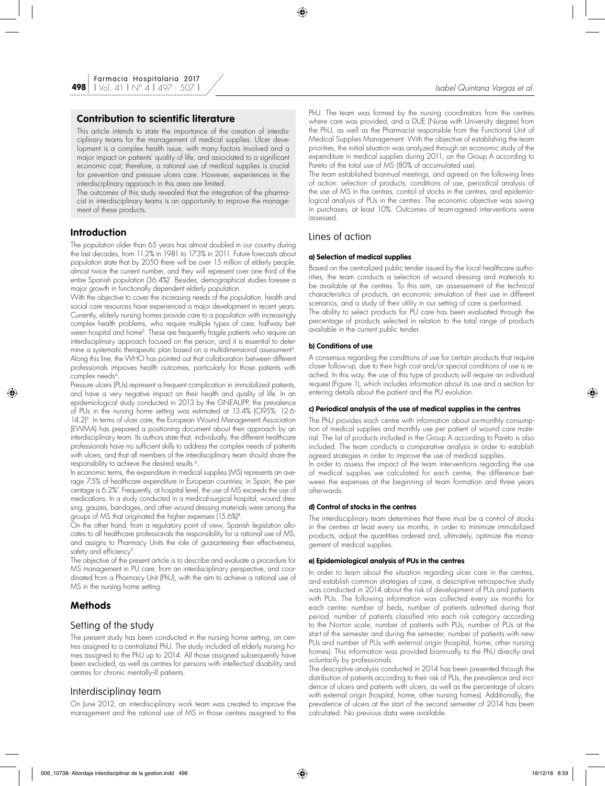### **Contribution to scientific literature**

This article intends to state the importance of the creation of interdisciplinary teams for the management of medical supplies. Ulcer development is a complex health issue, with many factors involved and a major impact on patients' quality of life, and associated to a significant economic cost; therefore, a rational use of medical supplies is crucial for prevention and pressure ulcers care. However, experiences in the interdisciplinary approach in this area are limited.

The outcomes of this study revealed that the integration of the pharmacist in interdisciplinary teams is an opportunity to improve the management of these products.

### **Introduction**

The population older than 65 years has almost doubled in our country during the last decades, from 11.2% in 1981 to 17.3% in 2011. Future forecasts about population state that by 2050 there will be over 15 million of elderly people, almost twice the current number, and they will represent over one third of the entire Spanish population (36.4%)'. Besides, demographical studies toresee a major growth in functionally dependent elderly population.

With the objective to cover the increasing needs of the population, health and social care resources have experienced a major development in recent years. Currently, elderly nursing homes provide care to a population with increasingly complex health problems, who require multiple types of care, halfway between hospital and home2. These are frequently fragile patients who require an interdisciplinary approach focused on the person, and it is essential to determine a systematic therapeutic plan based on a multidimensional assessment<sup>3</sup>. Along this line, the WHO has pointed out that collaboration between different professionals improves health outcomes, particularly for those patients with complex needs4.

Pressure ulcers (PUs) represent a frequent complication in immobilized patients, and have a very negative impact on their health and quality of life. In an epidemiological study conducted in 2013 by the GNEAUPP, the prevalence of PUs in the nursing home setting was estimated at 13.4% (CI95%: 12.6- 14.2)<sup>5</sup>. In terms of ulcer care, the European Wound Management Association (EWMA) has prepared a positioning document about their approach by an interdisciplinary team. Its authors state that, individually, the different healthcare professionals have no sufficient skills to address the complex needs of patients with ulcers, and that all members of the interdisciplinary team should share the responsibility to achieve the desired results 6.

In economic terms, the expenditure in medical supplies (MS) represents an average 7.5% of healthcare expenditure in European countries; in Spain, the percentage is 6.2%7 . Frequently, at hospital level, the use of MS exceeds the use of medications. In a study conducted in a medical-surgical hospital, wound dressing, gauzes, bandages, and other wound dressing materials were among the groups of MS that originated the higher expenses (15.6%)8.

On the other hand, from a regulatory point of view, Spanish legislation allocates to all healthcare professionals the responsibility for a rational use of MS, and assigns to Pharmacy Units the role of guaranteeing their effectiveness, safety and efficiency<sup>9</sup>.

The objective of the present article is to describe and evaluate a procedure for MS management in PU care, from an interdisciplinary perspective, and coordinated from a Pharmacy Unit (PhU), with the aim to achieve a rational use of MS in the nursing home setting.

## **Methods**

### Setting of the study

The present study has been conducted in the nursing home setting, on centres assigned to a centralized PhU. The study included all elderly nursing homes assigned to the PhU up to 2014. All those assigned subsequently have been excluded, as well as centres for persons with intellectual disability and centres for chronic mentally-ill patients.

### Interdisciplinay team

On June 2012, an interdisciplinary work team was created to improve the management and the rational use of MS in those centres assigned to the PhU. The team was formed by the nursing coordinators from the centres where care was provided, and a DUE (Nurse with University degree) from the PhU, as well as the Pharmacist responsible from the Functional Unit of Medical Supplies Management. With the objective of establishing the team priorities, the initial situation was analyzed through an economic study of the expenditure in medical supplies during 2011, on the Group A according to Pareto of the total use of MS (80% of accumulated use).

The team established biannual meetings, and agreed on the following lines of action: selection of products, conditions of use, periodical analysis of the use of MS in the centres, control of stocks in the centres, and epidemiological analysis of PUs in the centres. The economic objective was saving in purchases, at least 10%. Outcomes of team-agreed interventions were assessed.

### Lines of action

#### **a) Selection of medical supplies**

Based on the centralized public tender issued by the local healthcare authorities, the team conducts a selection of wound dressing and materials to be available at the centres. To this aim, an assessement of the technical characteristics of products, an economic simulation of their use in different scenarios, and a study of their utility in our setting of care is performed. The ability to select products for PU care has been evaluated through the percentage of products selected in relation to the total range of products available in the current public tender.

### **b) Conditions of use**

A consensus regarding the conditions of use for certain products that require closer follow-up, due to their high cost and/or special conditions of use is reached. In this way, the use of this type of products will require an individual request (Figure 1), which includes information about its use and a section for entering details about the patient and the PU evolution.

#### **c) Periodical analysis of the use of medical supplies in the centres**

The PhU provides each centre with information about six-monthly consumption of medical supplies and monthly use per patient of wound care material. The list of products included in the Group A according to Pareto is also included. The team conducts a comparative analysis in order to establish agreed strategies in order to improve the use of medical supplies.

In order to assess the impact of the team interventions regarding the use of medical supplies we calculated for each centre, the difference between the expenses at the beginning of team formation and three years afterwards.

#### **d) Control of stocks in the centres**

The interdisciplinary team determines that there must be a control of stocks in the centres at least every six months, in order to minimize immobilized products, adjust the quantities ordered and, ultimately, optimize the management of medical supplies.

### **e) Epidemiological analysis of PUs in the centres**

In order to learn about the situation regarding ulcer care in the centres, and establish common strategies of care, a descriptive retrospective study was conducted in 2014 about the risk of development of PUs and patients with PUs. The following information was collected every six months for each centre: number of beds, number of patients admitted during that period, number of patients classified into each risk category according to the Norton scale, number of patients with PUs, number of PUs at the start of the semester and during the semester, number of patients with new PUs and number of PUs with external origin (hospital, home, other nursing homes). This information was provided biannually to the PhU directly and voluntarily by professionals.

The descriptive analysis conducted in 2014 has been presented through the distribution of patients according to their risk of PUs, the prevalence and incidence of ulcers and patients with ulcers, as well as the percentage of ulcers with external origin (hospital, home, other nursing homes). Additionally, the prevalence of ulcers at the start of the second semester of 2014 has been calculated. No previous data were available.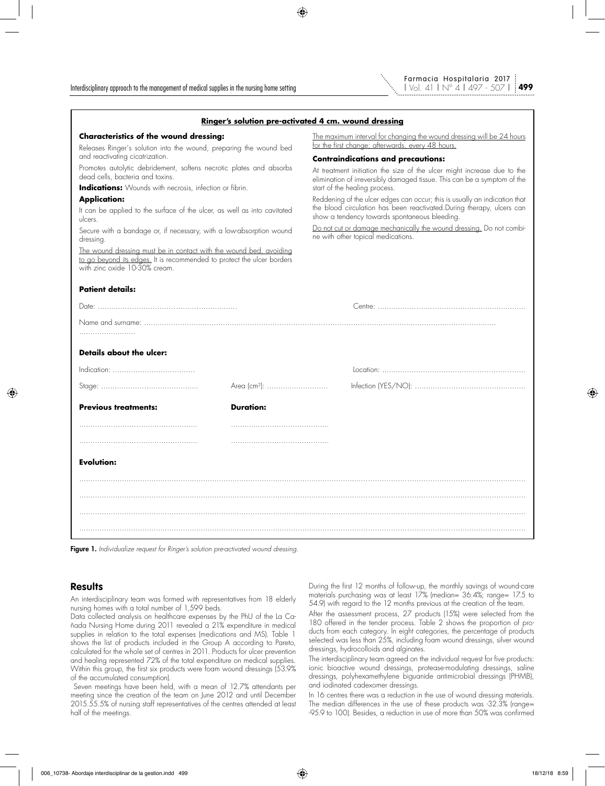

|                                                                                                                                                                               |                  | <u>Ringer's solution pre-activated 4 cm. wound dressing</u>                                                                                                                                           |  |  |  |  |  |  |  |  |
|-------------------------------------------------------------------------------------------------------------------------------------------------------------------------------|------------------|-------------------------------------------------------------------------------------------------------------------------------------------------------------------------------------------------------|--|--|--|--|--|--|--|--|
| <b>Characteristics of the wound dressing:</b>                                                                                                                                 |                  | The maximum interval for changing the wound dressing will be 24 hours<br>for the first change; afterwards, every 48 hours.                                                                            |  |  |  |  |  |  |  |  |
| Releases Ringer's solution into the wound, preparing the wound bed<br>and reactivating cicatrization.                                                                         |                  | <b>Contraindications and precautions:</b>                                                                                                                                                             |  |  |  |  |  |  |  |  |
| Promotes autolytic debridement, softens necrotic plates and absorbs<br>dead cells, bacteria and toxins.                                                                       |                  | At treatment initiation the size of the ulcer might increase due to the<br>elimination of irreversibly damaged tissue. This can be a symptom of the                                                   |  |  |  |  |  |  |  |  |
| <b>Indications:</b> Wounds with necrosis, infection or fibrin.                                                                                                                |                  | start of the healing process.                                                                                                                                                                         |  |  |  |  |  |  |  |  |
| <b>Application:</b><br>It can be applied to the surface of the ulcer, as well as into cavitated<br>ulcers.                                                                    |                  | Reddening of the ulcer edges can occur; this is usually an indication that<br>the blood circulation has been reactivated. During therapy, ulcers can<br>show a tendency towards spontaneous bleeding. |  |  |  |  |  |  |  |  |
| Secure with a bandage or, if necessary, with a low-absorption wound<br>dressing.                                                                                              |                  | Do not cut or damage mechanically the wound dressing. Do not combi-<br>ne with other topical medications.                                                                                             |  |  |  |  |  |  |  |  |
| The wound dressing must be in contact with the wound bed, avoiding<br>to go beyond its edges. It is recommended to protect the ulcer borders<br>with zinc oxide 10-30% cream. |                  |                                                                                                                                                                                                       |  |  |  |  |  |  |  |  |
| <b>Patient details:</b>                                                                                                                                                       |                  |                                                                                                                                                                                                       |  |  |  |  |  |  |  |  |
|                                                                                                                                                                               |                  |                                                                                                                                                                                                       |  |  |  |  |  |  |  |  |
|                                                                                                                                                                               |                  |                                                                                                                                                                                                       |  |  |  |  |  |  |  |  |
|                                                                                                                                                                               |                  |                                                                                                                                                                                                       |  |  |  |  |  |  |  |  |
| Details about the ulcer:                                                                                                                                                      |                  |                                                                                                                                                                                                       |  |  |  |  |  |  |  |  |
|                                                                                                                                                                               |                  |                                                                                                                                                                                                       |  |  |  |  |  |  |  |  |
|                                                                                                                                                                               |                  |                                                                                                                                                                                                       |  |  |  |  |  |  |  |  |
| <b>Previous treatments:</b>                                                                                                                                                   | <b>Duration:</b> |                                                                                                                                                                                                       |  |  |  |  |  |  |  |  |
|                                                                                                                                                                               |                  |                                                                                                                                                                                                       |  |  |  |  |  |  |  |  |
| <b>Evolution:</b>                                                                                                                                                             |                  |                                                                                                                                                                                                       |  |  |  |  |  |  |  |  |
|                                                                                                                                                                               |                  |                                                                                                                                                                                                       |  |  |  |  |  |  |  |  |
|                                                                                                                                                                               |                  |                                                                                                                                                                                                       |  |  |  |  |  |  |  |  |
|                                                                                                                                                                               |                  |                                                                                                                                                                                                       |  |  |  |  |  |  |  |  |
|                                                                                                                                                                               |                  |                                                                                                                                                                                                       |  |  |  |  |  |  |  |  |

#### Figure 1. *Individualize request for Ringer's solution pre-activated wound dressing.*

### **Results**

An interdisciplinary team was formed with representatives from 18 elderly nursing homes with a total number of 1,599 beds.

Data collected analysis on healthcare expenses by the PhU of the La Cañada Nursing Home during 2011 revealed a 21% expenditure in medical supplies in relation to the total expenses (medications and MS). Table 1 shows the list of products included in the Group A according to Pareto, calculated for the whole set of centres in 2011. Products for ulcer prevention and healing represented 72% of the total expenditure on medical supplies. Within this group, the first six products were foam wound dressings (53.9% of the accumulated consumption).

 Seven meetings have been held, with a mean of 12.7% attendants per meeting since the creation of the team on June 2012 and until December 2015.55.5% of nursing staff representatives of the centres attended at least half of the meetings.

During the first 12 months of follow-up, the monthly savings of wound-care materials purchasing was at least 17% (median= 36.4%; range= 17.5 to 54.9) with regard to the 12 months previous at the creation of the team.

After the assessment process, 27 products (15%) were selected from the 180 offered in the tender process. Table 2 shows the proportion of products from each category. In eight categories, the percentage of products selected was less than 25%, including foam wound dressings, silver wound dressings, hydrocolloids and alginates.

The interdisciplinary team agreed on the individual request for five products: ionic bioactive wound dressings, protease-modulating dressings, saline dressings, polyhexamethylene biguanide antimicrobial dressings (PHMB), and iodinated cadexomer dressings.

In 16 centres there was a reduction in the use of wound dressing materials. The median differences in the use of these products was -32.3% (range= -95.9 to 100). Besides, a reduction in use of more than 50% was confirmed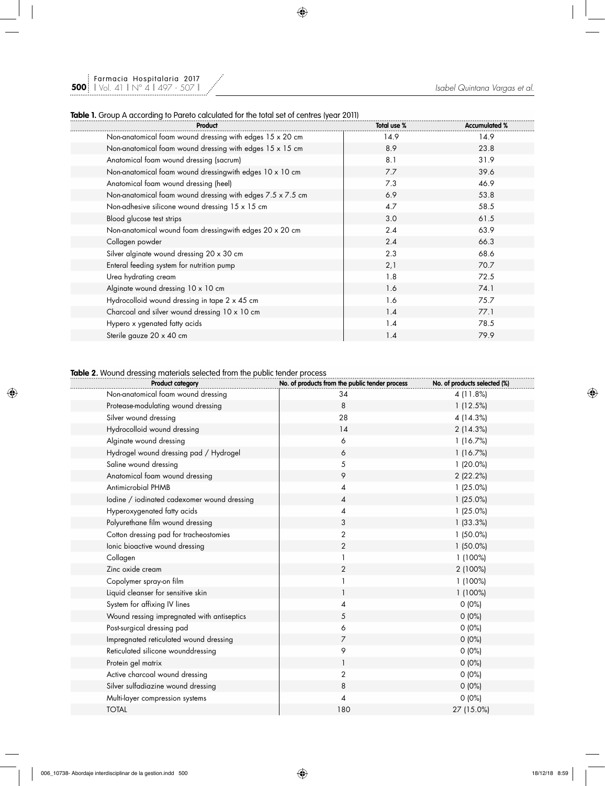### **Table 1.** Group A according to Pareto calculated for the total set of centres (year 2011)

| Product                                                    | Total use % | <b>Accumulated %</b> |
|------------------------------------------------------------|-------------|----------------------|
| Non-anatomical foam wound dressing with edges 15 x 20 cm   | 14.9        | 14.9                 |
| Non-anatomical foam wound dressing with edges 15 x 15 cm   | 8.9         | 23.8                 |
| Anatomical foam wound dressing (sacrum)                    | 8.1         | 31.9                 |
| Non-anatomical foam wound dressingwith edges 10 x 10 cm    | 7.7         | 39.6                 |
| Anatomical foam wound dressing (heel)                      | 7.3         | 46.9                 |
| Non-anatomical foam wound dressing with edges 7.5 x 7.5 cm | 6.9         | 53.8                 |
| Non-adhesive silicone wound dressing 15 x 15 cm            | 4.7         | 58.5                 |
| Blood glucose test strips                                  | 3.0         | 61.5                 |
| Non-anatomical wound foam dressingwith edges 20 x 20 cm    | 2.4         | 63.9                 |
| Collagen powder                                            | 2.4         | 66.3                 |
| Silver alginate wound dressing 20 x 30 cm                  | 2.3         | 68.6                 |
| Enteral feeding system for nutrition pump                  | 2,1         | 70.7                 |
| Urea hydrating cream                                       | 1.8         | 72.5                 |
| Alginate wound dressing 10 x 10 cm                         | 1.6         | 74.1                 |
| Hydrocolloid wound dressing in tape 2 x 45 cm              | 1.6         | 75.7                 |
| Charcoal and silver wound dressing 10 x 10 cm              | 1.4         | 77.1                 |
| Hypero x ygenated fatty acids                              | 1.4         | 78.5                 |
| Sterile gauze 20 x 40 cm                                   | 1.4         | 79.9                 |

### **Table 2.** Wound dressing materials selected from the public tender process

| <b>Product category</b>                     | No. of products from the public tender process | No. of products selected (%) |
|---------------------------------------------|------------------------------------------------|------------------------------|
| Non-anatomical foam wound dressing          | 34                                             | 4 (11.8%)                    |
| Protease-modulating wound dressing          | 8                                              | 1(12.5%)                     |
| Silver wound dressing                       | 28                                             | 4 (14.3%)                    |
| Hydrocolloid wound dressing                 | 14                                             | 2 (14.3%)                    |
| Alginate wound dressing                     | 6                                              | 1(16.7%)                     |
| Hydrogel wound dressing pad / Hydrogel      | 6                                              | 1(16.7%)                     |
| Saline wound dressing                       | 5                                              | 1 (20.0%)                    |
| Anatomical foam wound dressing              | 9                                              | 2 (22.2%)                    |
| Antimicrobial PHMB                          | 4                                              | 1(25.0%)                     |
| lodine / iodinated cadexomer wound dressing | 4                                              | $1(25.0\%)$                  |
| Hyperoxygenated fatty acids                 | 4                                              | 1(25.0%)                     |
| Polyurethane film wound dressing            | 3                                              | 1(33.3%)                     |
| Cotton dressing pad for tracheostomies      | $\overline{2}$                                 | $1(50.0\%)$                  |
| lonic bioactive wound dressing              | $\overline{c}$                                 | $1(50.0\%)$                  |
| Collagen                                    |                                                | 1 (100%)                     |
| Zinc oxide cream                            | $\overline{2}$                                 | 2 (100%)                     |
| Copolymer spray-on film                     |                                                | 1 (100%)                     |
| Liquid cleanser for sensitive skin          |                                                | 1 (100%)                     |
| System for affixing IV lines                | 4                                              | $0(0\%)$                     |
| Wound ressing impregnated with antiseptics  | 5                                              | $0(0\%)$                     |
| Post-surgical dressing pad                  | 6                                              | 0(0%)                        |
| Impregnated reticulated wound dressing      | $\overline{7}$                                 | $0(0\%)$                     |
| Reticulated silicone wounddressing          | 9                                              | $0(0\%)$                     |
| Protein gel matrix                          | $\mathbf{1}$                                   | $0(0\%)$                     |
| Active charcoal wound dressing              | $\overline{2}$                                 | $0(0\%)$                     |
| Silver sulfadiazine wound dressing          | 8                                              | $0(0\%)$                     |
| Multi-layer compression systems             | 4                                              | $0(0\%)$                     |
| <b>TOTAL</b>                                | 180                                            | 27 (15.0%)                   |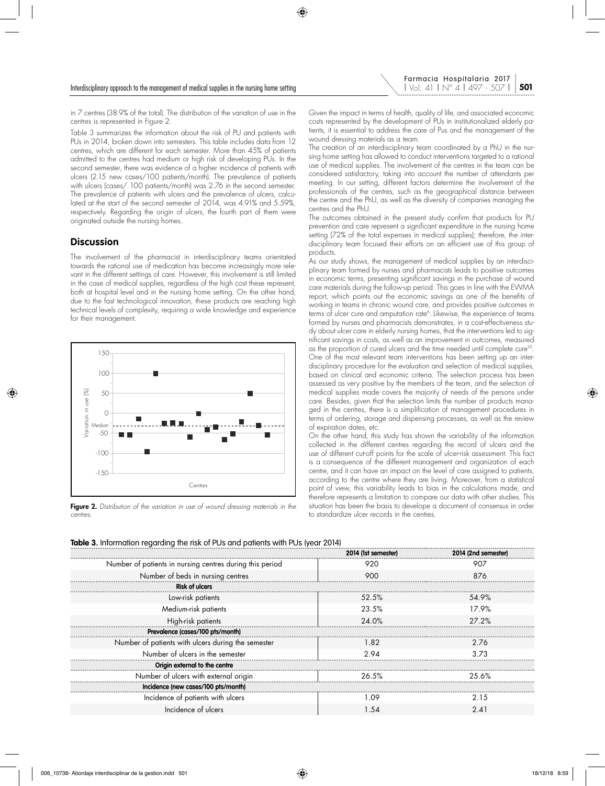in 7 centres (38.9% of the total). The distribution of the variation of use in the centres is represented in Figure 2.

Table 3 summarizes the information about the risk of PU and patients with PUs in 2014, broken down into semesters. This table includes data from 12 centres, which are different for each semester. More than 45% of patients admitted to the centres had medium or high risk of developing PUs. In the second semester, there was evidence of a higher incidence of patients with ulcers (2.15 new cases/100 patients/month). The prevalence of patients with ulcers (cases/ 100 patients/month) was 2.76 in the second semester. The prevalence of patients with ulcers and the prevalence of ulcers, calculated at the start of the second semester of 2014, was 4.91% and 5.59%, respectively. Regarding the origin of ulcers, the fourth part of them were originated outside the nursing homes.

### **Discussion**

The involvement of the pharmacist in interdisciplinary teams orientated towards the rational use of medication has become increasingly more relevant in the different settings of care. However, this involvement is still limited in the case of medical supplies, regardless of the high cost these represent, both at hospital level and in the nursing home setting. On the other hand, due to the fast technological innovation, these products are reaching high technical levels of complexity, requiring a wide knowledge and experience for their management.



Figure 2. *Distribution of the variation in use of wound dressing materials in the centres.*

Given the impact in terms of health, quality of life, and associated economic costs represented by the development of PUs in institutionalized elderly patients, it is essential to address the care of Pus and the management of the wound dressing materials as a team.

The creation of an interdisciplinary team coordinated by a PhU in the nursing home setting has allowed to conduct interventions targeted to a rational use of medical supplies. The involvement of the centres in the team can be considered satisfactory, taking into account the number of attendants per meeting. In our setting, different factors determine the involvement of the professionals of the centres, such as the geographical distance between the centre and the PhU, as well as the diversity of companies managing the centres and the PhU.

The outcomes obtained in the present study confirm that products for PU prevention and care represent a significant expenditure in the nursing home setting (72% of the total expenses in medical supplies); therefore, the interdisciplinary team focused their efforts on an efficient use of this group of products.

As our study shows, the management of medical supplies by an interdisciplinary team formed by nurses and pharmacists leads to positive outcomes in economic terms, presenting significant savings in the purchase of wound care materials during the follow-up period. This goes in line with the EWMA report, which points out the economic savings as one of the benefits of working in teams in chronic wound care, and provides positive outcomes in terms of ulcer cure and amputation rate<sup>6</sup>. Likewise, the experience of teams formed by nurses and pharmacists demonstrates, in a cost-effectiveness study about ulcer care in elderly nursing homes, that the interventions led to significant savings in costs, as well as an improvement in outcomes, measured as the proportion of cured ulcers and the time needed until complete cure<sup>10</sup>. One of the most relevant team interventions has been setting up an interdisciplinary procedure for the evaluation and selection of medical supplies, based on clinical and economic criteria. The selection process has been assessed as very positive by the members of the team, and the selection of medical supplies made covers the majority of needs of the persons under care. Besides, given that the selection limits the number of products managed in the centres, there is a simplification of management procedures in terms of ordering, storage and dispensing processes, as well as the review of expiration dates, etc.

On the other hand, this study has shown the variability of the information collected in the different centres regarding the record of ulcers and the use of different cut-off points for the scale of ulcer-risk assessment. This fact is a consequence of the different management and organization of each centre, and it can have an impact on the level of care assigned to patients, according to the centre where they are living. Moreover, from a statistical point of view, this variability leads to bias in the calculations made, and therefore represents a limitation to compare our data with other studies. This situation has been the basis to develope a document of consensus in order to standardize ulcer records in the centres.

|                                                          | 2014 (1st semester) | 2014 (2nd semester) |
|----------------------------------------------------------|---------------------|---------------------|
| Number of patients in nursing centres during this period | 920                 | 907                 |
| Number of beds in nursing centres                        | 900                 | 876                 |
| <b>Risk of ulcers</b>                                    |                     |                     |
| Low-risk patients                                        | 52.5%               | 54.9%               |
| Medium-risk patients                                     | 23.5%               | 17.9%               |
| High-risk patients                                       | 24.0%               | 27.2%               |
| Prevalence (cases/100 pts/month)                         |                     |                     |
| Number of patients with ulcers during the semester       | 1.82                | 2.76                |
| Number of ulcers in the semester                         | 294                 | 3.73                |
| Origin external to the centre                            |                     |                     |
| Number of ulcers with external origin                    | 26.5%               | 25.6%               |
| Incidence (new cases/100 pts/month)                      |                     |                     |
| Incidence of patients with ulcers                        | I 09                | 2.15                |
| Incidence of ulcers                                      | - 54                | 2.41                |
|                                                          |                     |                     |

**Table 3.** Information regarding the risk of PUs and patients with PUs (year 2014)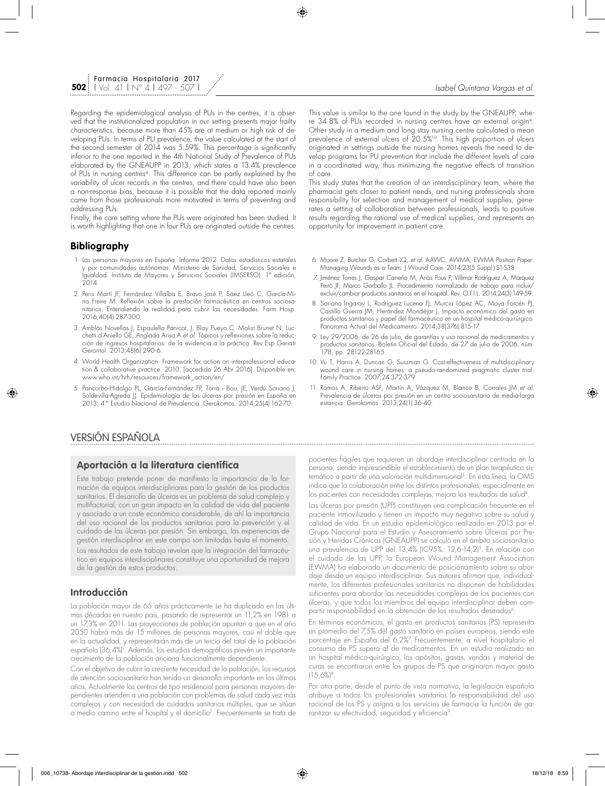Regarding the epidemiological analysis of PUs in the centres, it is observed that the institutionalized population in our setting presents major frailty characteristics, because more than 45% are at medium or high risk of developing PUs. In terms of PU prevalence, the value calculated at the start of the second semester of 2014 was 5.59%. This percentage is significantly inferior to the one reported in the 4th National Study of Prevalence of PUs elaborated by the GNEAUPP in 2013, which states a 13.4% prevalence of PUs in nursing centres4. This difference can be partly explained by the variability of ulcer records in the centres, and there could have also been a non-response bias, because it is possible that the data reported mainly came from those professionals more motivated in terms of preventing and addressing PUs.

Finally, the care setting where the PUs were originated has been studied. It is worth highlighting that one in four PUs are originated outside the centres.

### **Bibliography**

- 1. Las personas mayores en España. Informe 2012. Datos estadísticos estatales y por comunidades autónomas. Ministerio de Sanidad, Servicios Sociales e Igualdad. Instituto de Mayores y Servicios Sociales (IMSERSO). 1ª edición,  $2014.$
- 2. Peris Martí JF, Fernández Villalba E, Bravo José P, Sáez Lleó C, García-Mina Freire M. Reflexión sobre la prestación farmacéutica en centros sociosanitarios. Entendiendo la realidad para cubrir las necesidades. Farm Hosp. 2016;40(4):287-300.
- 3. Amblàs Novellas J, Espaulella Panicot, J, Blay Pueyo C, Molist Brunet N, Lucchetti d´Aniello GE, Anglada Arisa A *et al.* Tópicos y reflexiones sobre la reducción de ingresos hospitalarios: de la evidencia a la práctica. Rev Esp Geriatr Gerontol. 2013;48(6):290-6.
- 4. World Health Organization. Framework for action on interprofessional education & collaborative practice. 2010. [accedido 26 Abr 2016]. Disponible en: www.who.int/hrh/resources/framework\_action/en/
- 5. Pancorbo-Hidalgo PL, García-Fernández FP, Torra i Bou, JE, Verdú Soriano J, Soldevilla-Agreda JJ. Epidemiología de las úlceras por presión en España en 2013: 4.º Estudio Nacional de Prevalencia. Gerokomos. 2014;25(4):162-70.

This value is similar to the one found in the study by the GNEAUPP, where 34.8% of PUs recorded in nursing centres have an external origin4. Other study in a medium and long stay nursing centre calculated a mean prevalence of external ulcers of 20.5%<sup>10</sup>. This high proportion of ulcers originated in settings outside the nursing homes reveals the need to develop programs for PU prevention that include the different levels of care in a coordinated way, thus minimizing the negative effects of transition of care.

This study states that the creation of an interdisciplinary team, where the pharmacist gets closer to patient needs, and nursing professionals share responsibility for selection and management of medical supplies, generates a setting of collaboration between professionals, leads to positive results regarding the rational use of medical supplies, and represents an opportunity for improvement in patient care.

- 6. Moore Z, Butcher G, Corbett LQ, *et al.* AAWC, AWMA, EWMA Position Paper: Managing Wounds as a Team. J Wound Care. 2014;23(5 Suppl.):S1-S38.
- 7. Jiménez Torres J, Gaspar Carreño M, Arias Pous P, Villimar Rodríguez A, Márquez Peiró JF, Marco Garballo JL. Procedimiento normalizado de trabajo para incluir/ excluir/cambiar productos sanitarios en el hospital. Rev. O.F.I.L. 2014;24(3):149-59.
- 8. Soriano Irigaray L, Rodríguez Lucena FJ, Murcia López AC, Moya Forcén PJ, Castillo Guerra JM, Herández Mondéjar J. Impacto económico del gasto en productos sanitarios y papel del farmacéutico en un hospital médico-quirúrgico. Panorama Actual del Medicamento. 2014;38(376):815-17.
- 9. Ley 29/2006, de 26 de julio, de garantías y uso racional de medicamentos y productos sanitarios. Boletín Oficial del Estado, de 27 de julio de 2006, núm. 178, pp. 28122-28165.
- 10. Vu T, Harris A, Duncan G, Sussman G. Cost-effectiveness of multidisciplinary wound care in nursing homes: a pseudo-randomized pragmatic cluster trial. Family Practice. 2007;24:372-379.
- 11. Ramos A, Ribeiro ASF, Martín A, Vázquez M, Blanco B, Corrales JM *et al.*  Prevalencia de úlceras por presión en un centro sociosanitario de media-larga estancia. Gerokomos. 2013;24(1):36-40.

# VERSIÓN ESPAÑOLA

### **Aportación a la literatura científica**

Este trabajo pretende poner de manifiesto la importancia de la formación de equipos interdisciplinares para la gestión de los productos sanitarios. El desarrollo de úlceras es un problema de salud complejo y multifactorial, con un gran impacto en la calidad de vida del paciente y asociado a un coste económico considerable, de ahí la importancia del uso racional de los productos sanitarios para la prevención y el cuidado de las úlceras por presión. Sin embargo, las experiencias de gestión interdisciplinar en este campo son limitadas hasta el momento. Los resultados de este trabajo revelan que la integración del farmacéu-

tico en equipos interdisciplinares constituye una oportunidad de mejora de la gestión de estos productos.

### **Introducción**

La población mayor de 65 años prácticamente se ha duplicado en las últimas décadas en nuestro país, pasando de representar un 11,2% en 1981 a un 17,3% en 2011. Las proyecciones de población apuntan a que en el año 2050 habrá más de 15 millones de personas mayores, casi el doble que en la actualidad, y representarán más de un tercio del total de la población española (36,4%)<sup>,</sup>. Además, los estudios demográficos prevén un importante crecimiento de la población anciana funcionalmente dependiente.

Con el objetivo de cubrir la creciente necesidad de la población, los recursos de atención sociosanitaria han tenido un desarrollo importante en los últimos años. Actualmente los centros de tipo residencial para personas mayores dependientes atienden a una población con problemas de salud cada vez más complejos y con necesidad de cuidados sanitarios múltiples, que se sitúan a medio camino entre el hospital y el domicilio2. Frecuentemente se trata de pacientes frágiles que requieren un abordaje interdisciplinar centrado en la persona, siendo imprescindible el establecimiento de un plan terapéutico sistemático a partir de una valoración multidimensional3. En esta línea, la OMS indica que la colaboración entre los distintos profesionales, especialmente en los pacientes con necesidades complejas, mejora los resultados de salud4.

Las úlceras por presión (UPP) constituyen una complicación frecuente en el paciente inmovilizado y tienen un impacto muy negativo sobre su salud y calidad de vida. En un estudio epidemiológico realizado en 2013 por el Grupo Nacional para el Estudio y Asesoramiento sobre Úlceras por Presión y Heridas Crónicas (GNEAUPP) se calculó en el ámbito sociosanitario una prevalencia de UPP del 13,4% (IC95%: 12,6-14,2)<sup>5</sup>. En relación con el cuidado de las UPP, la European Wound Management Association (EWMA) ha elaborado un documento de posicionamiento sobre su abordaje desde un equipo interdisciplinar. Sus autores afirman que, individualmente, los diferentes profesionales sanitarios no disponen de habilidades suficientes para abordar las necesidades complejas de los pacientes con úlceras, y que todos los miembros del equipo interdisciplinar deben compartir responsabilidad en la obtención de los resultados deseados<sup>6</sup>.

En términos económicos, el gasto en productos sanitarios (PS) representa un promedio del 7,5% del gasto sanitario en países europeos, siendo este porcentaje en España del 6,2%7 . Frecuentemente, a nivel hospitalario el consumo de PS supera al de medicamentos. En un estudio realizado en un hospital médico-quirúrgico, los apósitos, gasas, vendas y material de curas se encontraron entre los grupos de PS que originaron mayor gasto  $(15.6\%)$ <sup>8</sup>.

Por otra parte, desde el punto de vista normativo, la legislación española atribuye a todos los profesionales sanitarios la responsabilidad del uso racional de los PS y asigna a los servicios de farmacia la función de garantizar su efectividad, seguridad y eficiencia<sup>9</sup>.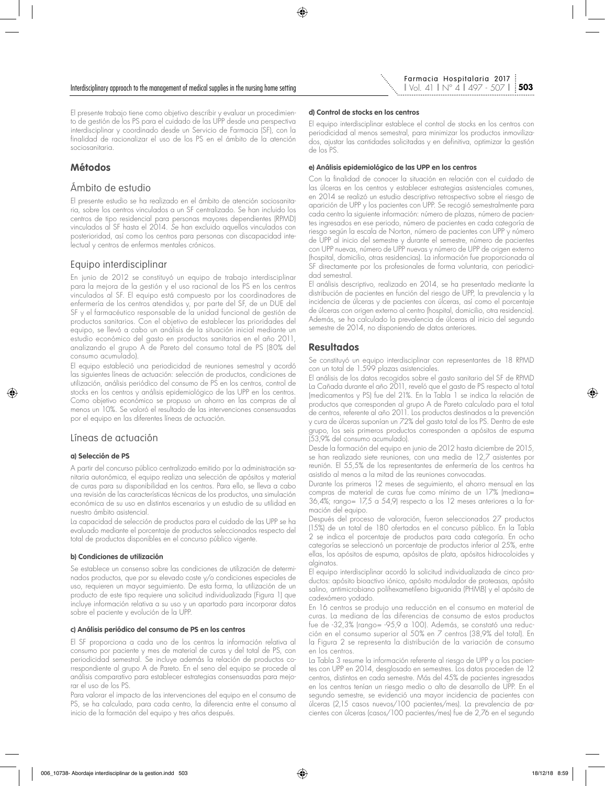

El presente trabajo tiene como objetivo describir y evaluar un procedimiento de gestión de los PS para el cuidado de las UPP desde una perspectiva interdisciplinar y coordinado desde un Servicio de Farmacia (SF), con la finalidad de racionalizar el uso de los PS en el ámbito de la atención sociosanitaria.

# **Métodos**

## Ámbito de estudio

El presente estudio se ha realizado en el ámbito de atención sociosanitaria, sobre los centros vinculados a un SF centralizado. Se han incluido los centros de tipo residencial para personas mayores dependientes (RPMD) vinculados al SF hasta el 2014. *S*e han excluido aquellos vinculados con posterioridad, así como los centros para personas con discapacidad intelectual y centros de enfermos mentales crónicos.

# Equipo interdisciplinar

En junio de 2012 se constituyó un equipo de trabajo interdisciplinar para la mejora de la gestión y el uso racional de los PS en los centros vinculados al SF. El equipo está compuesto por los coordinadores de enfermería de los centros atendidos y, por parte del SF, de un DUE del SF y el farmacéutico responsable de la unidad funcional de gestión de productos sanitarios. Con el objetivo de establecer las prioridades del equipo, se llevó a cabo un análisis de la situación inicial mediante un estudio económico del gasto en productos sanitarios en el año 2011, analizando el grupo A de Pareto del consumo total de PS (80% del consumo acumulado).

El equipo estableció una periodicidad de reuniones semestral y acordó las siguientes líneas de actuación: selección de productos, condiciones de utilización, análisis periódico del consumo de PS en los centros, control de stocks en los centros y análisis epidemiológico de las UPP en los centros. Como objetivo económico se propuso un ahorro en las compras de al menos un 10%. Se valoró el resultado de las intervenciones consensuadas por el equipo en las diferentes líneas de actuación.

# Líneas de actuación

### **a) Selección de PS**

A partir del concurso público centralizado emitido por la administración sanitaria autonómica, el equipo realiza una selección de apósitos y material de curas para su disponibilidad en los centros. Para ello, se lleva a cabo una revisión de las características técnicas de los productos, una simulación económica de su uso en distintos escenarios y un estudio de su utilidad en nuestro ámbito asistencial.

La capacidad de selección de productos para el cuidado de las UPP se ha evaluado mediante el porcentaje de productos seleccionados respecto del total de productos disponibles en el concurso público vigente.

### **b) Condiciones de utilización**

Se establece un consenso sobre las condiciones de utilización de determinados productos, que por su elevado coste y/o condiciones especiales de uso, requieren un mayor seguimiento. De esta forma, la utilización de un producto de este tipo requiere una solicitud individualizada (Figura 1) que incluye información relativa a su uso y un apartado para incorporar datos sobre el paciente y evolución de la UPP.

#### **c) Análisis periódico del consumo de PS en los centros**

El SF proporciona a cada uno de los centros la información relativa al consumo por paciente y mes de material de curas y del total de PS, con periodicidad semestral. Se incluye además la relación de productos correspondiente al grupo A de Pareto. En el seno del equipo se procede al análisis comparativo para establecer estrategias consensuadas para mejorar el uso de los PS.

Para valorar el impacto de las intervenciones del equipo en el consumo de PS, se ha calculado, para cada centro, la diferencia entre el consumo al inicio de la formación del equipo y tres años después.

#### **d) Control de stocks en los centros**

El equipo interdisciplinar establece el control de stocks en los centros con periodicidad al menos semestral, para minimizar los productos inmovilizados, ajustar las cantidades solicitadas y en definitiva, optimizar la gestión de los PS.

#### **e) Análisis epidemiológico de las UPP en los centros**

Con la finalidad de conocer la situación en relación con el cuidado de las úlceras en los centros y establecer estrategias asistenciales comunes, en 2014 se realizó un estudio descriptivo retrospectivo sobre el riesgo de aparición de UPP y los pacientes con UPP. Se recogió semestralmente para cada centro la siguiente información: número de plazas, número de pacientes ingresados en ese periodo, número de pacientes en cada categoría de riesgo según la escala de Norton, número de pacientes con UPP y número de UPP al inicio del semestre y durante el semestre, número de pacientes con UPP nuevas, número de UPP nuevas y número de UPP de origen externo (hospital, domicilio, otras residencias). La información fue proporcionada al SF directamente por los profesionales de forma voluntaria, con periodicidad semestral.

El análisis descriptivo, realizado en 2014, se ha presentado mediante la distribución de pacientes en función del riesgo de UPP, la prevalencia y la incidencia de úlceras y de pacientes con úlceras, así como el porcentaje de úlceras con origen externo al centro (hospital, domicilio, otra residencia). Además, se ha calculado la prevalencia de úlceras al inicio del segundo semestre de 2014, no disponiendo de datos anteriores.

# **Resultados**

Se constituyó un equipo interdisciplinar con representantes de 18 RPMD con un total de 1.599 plazas asistenciales.

El análisis de los datos recogidos sobre el gasto sanitario del SF de RPMD La Cañada durante el año 2011, reveló que el gasto de PS respecto al total (medicamentos y PS) fue del 21%. En la Tabla 1 se indica la relación de productos que corresponden al grupo A de Pareto calculado para el total de centros, referente al año 2011. Los productos destinados a la prevención y cura de úlceras suponían un 72% del gasto total de los PS. Dentro de este grupo, los seis primeros productos corresponden a apósitos de espuma (53,9% del consumo acumulado).

Desde la formación del equipo en junio de 2012 hasta diciembre de 2015, se han realizado siete reuniones, con una media de 12,7 asistentes por reunión. El 55,5% de los representantes de enfermería de los centros ha asistido al menos a la mitad de las reuniones convocadas.

Durante los primeros 12 meses de seguimiento, el ahorro mensual en las compras de material de curas fue como mínimo de un 17% (mediana= 36,4%; rango= 17,5 a 54,9) respecto a los 12 meses anteriores a la formación del equipo.

Después del proceso de valoración, fueron seleccionados 27 productos (15%) de un total de 180 ofertados en el concurso público. En la Tabla 2 se indica el porcentaje de productos para cada categoría. En ocho categorías se seleccionó un porcentaje de productos inferior al 25%, entre ellas, los apósitos de espuma, apósitos de plata, apósitos hidrocoloides y alginatos.

El equipo interdisciplinar acordó la solicitud individualizada de cinco productos: apósito bioactivo iónico, apósito modulador de proteasas, apósito salino, antimicrobiano polihexametileno biguanida (PHMB) y el apósito de cadexómero yodado.

En 16 centros se produjo una reducción en el consumo en material de curas. La mediana de las diferencias de consumo de estos productos fue de -32,3% (rango= -95,9 a 100). Además, se constató una reducción en el consumo superior al 50% en 7 centros (38,9% del total). En la Figura 2 se representa la distribución de la variación de consumo en los centros.

La Tabla 3 resume la información referente al riesgo de UPP y a los pacientes con UPP en 2014, desglosado en semestres. Los datos proceden de 12 centros, distintos en cada semestre. Más del 45% de pacientes ingresados en los centros tenían un riesgo medio o alto de desarrollo de UPP. En el segundo semestre, se evidenció una mayor incidencia de pacientes con úlceras (2,15 casos nuevos/100 pacientes/mes). La prevalencia de pacientes con úlceras (casos/100 pacientes/mes) fue de 2,76 en el segundo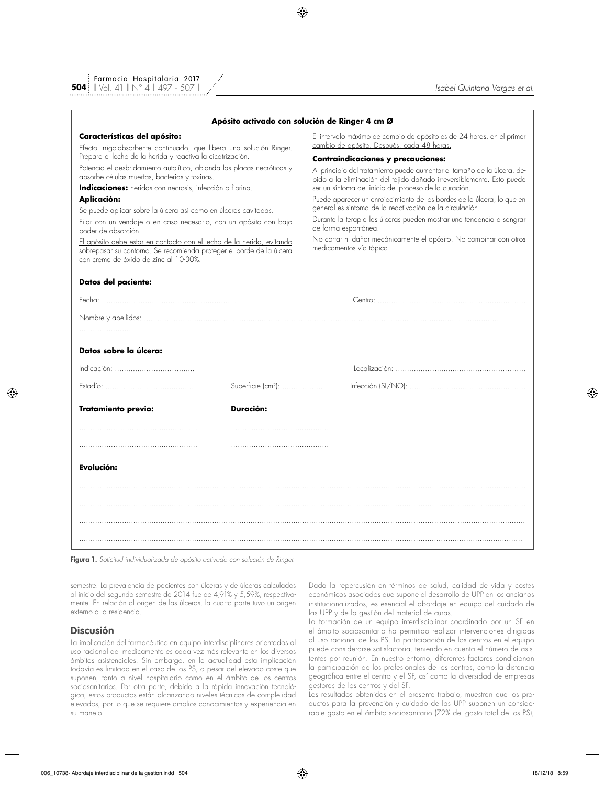|  | <u>Apósito activado con solución de Ringer 4 cm Ø</u> |  |  |  |  |
|--|-------------------------------------------------------|--|--|--|--|
|  |                                                       |  |  |  |  |

#### **Características del apósito:**

Efecto irrigo-absorbente continuado, que libera una solución Ringer. Prepara el lecho de la herida y reactiva la cicatrización.

Potencia el desbridamiento autolítico, ablanda las placas necróticas y absorbe células muertas, bacterias y toxinas.

**Indicaciones:** heridas con necrosis, infección o fibrina.

### **Aplicación:**

Se puede aplicar sobre la úlcera así como en úlceras cavitadas.

Fijar con un vendaje o en caso necesario, con un apósito con bajo poder de absorción.

El apósito debe estar en contacto con el lecho de la herida, evitando sobrepasar su contorno. Se recomienda proteger el borde de la úlcera con crema de óxido de zinc al 10-30%.

#### **Datos del paciente:**

El intervalo máximo de cambio de apósito es de 24 horas, en el primer cambio de apósito. Después, cada 48 horas.

### **Contraindicaciones y precauciones:**

Al principio del tratamiento puede aumentar el tamaño de la úlcera, debido a la eliminación del tejido dañado irreversiblemente. Esto puede ser un síntoma del inicio del proceso de la curación.

Puede aparecer un enrojecimiento de los bordes de la úlcera, lo que en general es síntoma de la reactivación de la circulación.

Durante la terapia las úlceras pueden mostrar una tendencia a sangrar de forma espontánea.

No cortar ni dañar mecánicamente el apósito. No combinar con otros medicamentos vía tópica.

| Datos sobre la úlcera:     |                                |  |  |  |  |  |  |  |  |
|----------------------------|--------------------------------|--|--|--|--|--|--|--|--|
|                            |                                |  |  |  |  |  |  |  |  |
|                            | Superficie (cm <sup>2</sup> ): |  |  |  |  |  |  |  |  |
| <b>Tratamiento previo:</b> | Duración:                      |  |  |  |  |  |  |  |  |
|                            |                                |  |  |  |  |  |  |  |  |
|                            |                                |  |  |  |  |  |  |  |  |
| Evolución:                 |                                |  |  |  |  |  |  |  |  |
|                            |                                |  |  |  |  |  |  |  |  |
|                            |                                |  |  |  |  |  |  |  |  |
|                            |                                |  |  |  |  |  |  |  |  |
|                            |                                |  |  |  |  |  |  |  |  |

Figura 1. *Solicitud individualizada de apósito activado con solución de Ringer.*

semestre. La prevalencia de pacientes con úlceras y de úlceras calculados al inicio del segundo semestre de 2014 fue de 4,91% y 5,59%, respectivamente. En relación al origen de las úlceras, la cuarta parte tuvo un origen externo a la residencia.

### **Discusión**

La implicación del farmacéutico en equipo interdisciplinares orientados al uso racional del medicamento es cada vez más relevante en los diversos ámbitos asistenciales. Sin embargo, en la actualidad esta implicación todavía es limitada en el caso de los PS, a pesar del elevado coste que suponen, tanto a nivel hospitalario como en el ámbito de los centros sociosanitarios. Por otra parte, debido a la rápida innovación tecnológica, estos productos están alcanzando niveles técnicos de complejidad elevados, por lo que se requiere amplios conocimientos y experiencia en su manejo.

Dada la repercusión en términos de salud, calidad de vida y costes económicos asociados que supone el desarrollo de UPP en los ancianos institucionalizados, es esencial el abordaje en equipo del cuidado de las UPP y de la gestión del material de curas.

La formación de un equipo interdisciplinar coordinado por un SF en el ámbito sociosanitario ha permitido realizar intervenciones dirigidas al uso racional de los PS. La participación de los centros en el equipo puede considerarse satisfactoria, teniendo en cuenta el número de asistentes por reunión. En nuestro entorno, diferentes factores condicionan la participación de los profesionales de los centros, como la distancia geográfica entre el centro y el SF, así como la diversidad de empresas gestoras de los centros y del SF.

Los resultados obtenidos en el presente trabajo, muestran que los productos para la prevención y cuidado de las UPP suponen un considerable gasto en el ámbito sociosanitario (72% del gasto total de los PS),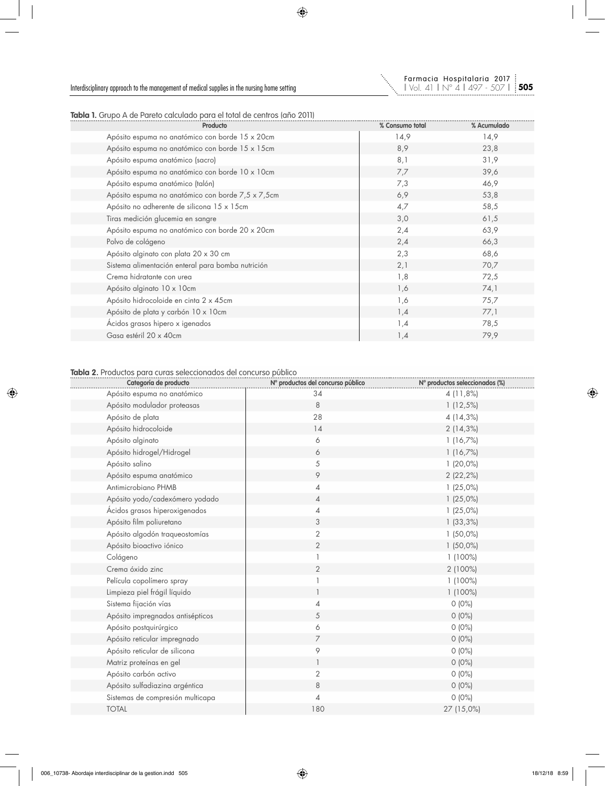

**Tabla 1.** Grupo A de Pareto calculado para el total de centros (año 2011)

| % Consumo total | % Acumulado |
|-----------------|-------------|
| 14,9            | 14,9        |
| 8,9             | 23,8        |
| 8,1             | 31,9        |
| 7,7             | 39,6        |
| 7,3             | 46,9        |
| 6,9             | 53,8        |
| 4,7             | 58,5        |
| 3,0             | 61,5        |
| 2,4             | 63,9        |
| 2,4             | 66,3        |
| 2,3             | 68,6        |
| 2,1             | 70,7        |
| 1,8             | 72,5        |
| 1,6             | 74,1        |
| 1,6             | 75,7        |
| 1,4             | 77,1        |
| 1,4             | 78,5        |
| 1,4             | 79,9        |
|                 |             |

### **Tabla 2.** Productos para curas seleccionados del concurso público

| Categoría de producto            | Nº productos del concurso público | Nº productos seleccionados (%) |
|----------------------------------|-----------------------------------|--------------------------------|
| Apósito espuma no anatómico      | 34                                | 4 (11,8%)                      |
| Apósito modulador proteasas      | 8                                 | 1(12,5%)                       |
| Apósito de plata                 | 28                                | 4 (14,3%)                      |
| Apósito hidrocoloide             | 14                                | 2(14,3%)                       |
| Apósito alginato                 | 6                                 | 1(16,7%)                       |
| Apósito hidrogel/Hidrogel        | 6                                 | 1(16,7%)                       |
| Apósito salino                   | 5                                 | $1(20,0\%)$                    |
| Apósito espuma anatómico         | 9                                 | 2 (22,2%)                      |
| Antimicrobiano PHMB              | 4                                 | 1(25,0%)                       |
| Apósito yodo/cadexómero yodado   | $\overline{4}$                    | 1(25,0%)                       |
| Ácidos grasos hiperoxigenados    | 4                                 | 1(25,0%)                       |
| Apósito film poliuretano         | 3                                 | 1(33,3%)                       |
| Apósito algodón traqueostomías   | $\overline{2}$                    | $1(50,0\%)$                    |
| Apósito bioactivo iónico         | $\overline{2}$                    | $1(50,0\%)$                    |
| Colágeno                         |                                   | $1(100\%)$                     |
| Crema óxido zinc                 | 2                                 | 2 (100%)                       |
| Película copolímero spray        |                                   | $1(100\%)$                     |
| Limpieza piel frágil líquido     |                                   | 1 (100%)                       |
| Sistema fijación vías            | 4                                 | $0(0\%)$                       |
| Apósito impregnados antisépticos | 5                                 | $0(0\%)$                       |
| Apósito postquirúrgico           | 6                                 | $0(0\%)$                       |
| Apósito reticular impregnado     | $\overline{7}$                    | $0(0\%)$                       |
| Apósito reticular de silicona    | 9                                 | $0(0\%)$                       |
| Matriz proteínas en gel          |                                   | $0(0\%)$                       |
| Apósito carbón activo            | 2                                 | $0(0\%)$                       |
| Apósito sulfadiazina argéntica   | 8                                 | $0(0\%)$                       |
| Sistemas de compresión multicapa | 4                                 | $0(0\%)$                       |
| <b>TOTAL</b>                     | 180                               | 27 (15,0%)                     |
|                                  |                                   |                                |

**505**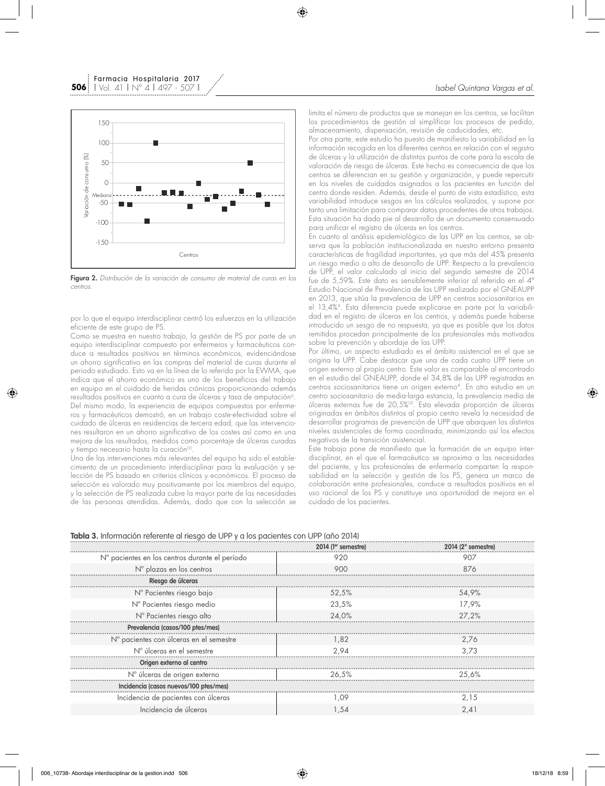

Farmacia Hospitalaria 2017

Figura 2. *Distribución de la variación de consumo de material de curas en los centros.*

por lo que el equipo interdisciplinar centró los esfuerzos en la utilización eficiente de este grupo de PS.

Como se muestra en nuestro trabajo, la gestión de PS por parte de un equipo interdisciplinar compuesto por enfermeros y farmacéuticos conduce a resultados positivos en términos económicos, evidenciándose un ahorro significativo en las compras del material de curas durante el periodo estudiado. Esto va en la línea de lo referido por la EWMA, que indica que el ahorro económico es uno de los beneficios del trabajo en equipo en el cuidado de heridas crónicas proporcionando además resultados positivos en cuanto a cura de úlceras y tasa de amputación<sup>6</sup>. Del mismo modo, la experiencia de equipos compuestos por enfermeros y farmacéuticos demostró, en un trabajo coste-efectividad sobre el cuidado de úlceras en residencias de tercera edad, que las intervenciones resultaron en un ahorro significativo de los costes así como en una mejora de los resultados, medidos como porcentaje de úlceras curadas y tiempo necesario hasta la curación<sup>10</sup>.

Una de las intervenciones más relevantes del equipo ha sido el establecimiento de un procedimiento interdisciplinar para la evaluación y selección de PS basado en criterios clínicos y económicos. El proceso de selección es valorado muy positivamente por los miembros del equipo, y la selección de PS realizada cubre la mayor parte de las necesidades de las personas atendidas. Además, dado que con la selección se

limita el número de productos que se manejan en los centros, se facilitan los procedimientos de gestión al simplificar los procesos de pedido, almacenamiento, dispensación, revisión de caducidades, etc.

Por otra parte, este estudio ha puesto de manifiesto la variabilidad en la información recogida en los diferentes centros en relación con el registro de úlceras y la utilización de distintos puntos de corte para la escala de valoración de riesgo de úlceras. Este hecho es consecuencia de que los centros se diferencian en su gestión y organización, y puede repercutir en los niveles de cuidados asignados a los pacientes en función del centro donde residen. Además, desde el punto de vista estadístico, esta variabilidad introduce sesgos en los cálculos realizados, y supone por tanto una limitación para comparar datos procedentes de otros trabajos. Esta situación ha dado pie al desarrollo de un documento consensuado para unificar el registro de úlceras en los centros.

En cuanto al análisis epidemiológico de las UPP en los centros, se observa que la población institucionalizada en nuestro entorno presenta características de fragilidad importantes, ya que más del 45% presenta un riesgo medio o alto de desarrollo de UPP. Respecto a la prevalencia de UPP, el valor calculado al inicio del segundo semestre de 2014 fue de 5,59%. Este dato es sensiblemente inferior al referido en el 4º Estudio Nacional de Prevalencia de las UPP realizado por el GNEAUPP en 2013, que sitúa la prevalencia de UPP en centros sociosanitarios en el 13,4%4. Esta diferencia puede explicarse en parte por la variabilidad en el registro de úlceras en los centros, y además puede haberse introducido un sesgo de no respuesta, ya que es posible que los datos remitidos procedan principalmente de los profesionales más motivados sobre la prevención y abordaje de las UPP.

Por último, un aspecto estudiado es el ámbito asistencial en el que se origina la UPP. Cabe destacar que una de cada cuatro UPP tiene un origen externo al propio centro. Este valor es comparable al encontrado en el estudio del GNEAUPP, donde el 34,8% de las UPP registradas en centros sociosanitarios tiene un origen externo4. En otro estudio en un centro sociosanitario de media-larga estancia, la prevalencia media de úlceras externas fue de 20,5%10. Esta elevada proporción de úlceras originadas en ámbitos distintos al propio centro revela la necesidad de desarrollar programas de prevención de UPP que abarquen los distintos niveles asistenciales de forma coordinada, minimizando así los efectos negativos de la transición asistencial.

Este trabajo pone de manifiesto que la formación de un equipo interdisciplinar, en el que el farmacéutico se aproxima a las necesidades del paciente, y los profesionales de enfermería comparten la responsabilidad en la selección y gestión de los PS, genera un marco de colaboración entre profesionales, conduce a resultados positivos en el uso racional de los PS y constituye una oportunidad de mejora en el cuidado de los pacientes.

| <b>Tabla 3.</b> Información referente al riesgo de UPP y a los pacientes con UPP (año 2014) |  |  |  |  |  |  |  |  |  |  |  |  |  |  |  |  |  |  |  |  |  |  |  |  |  |  |  |  |
|---------------------------------------------------------------------------------------------|--|--|--|--|--|--|--|--|--|--|--|--|--|--|--|--|--|--|--|--|--|--|--|--|--|--|--|--|
|                                                                                             |  |  |  |  |  |  |  |  |  |  |  |  |  |  |  |  |  |  |  |  |  |  |  |  |  |  |  |  |

|                                                | 2014 (1 <sup>er</sup> semestre) | $2014$ ( $2^{\circ}$ semestre) |
|------------------------------------------------|---------------------------------|--------------------------------|
| N° pacientes en los centros durante el período | 920                             | 907                            |
| N° plazas en los centros                       | 900                             | 876                            |
| Riesgo de úlceras                              |                                 |                                |
| N° Pacientes riesgo bajo                       | 52,5%                           | 54,9%                          |
| N° Pacientes riesgo medio                      | 23,5%                           | 17.9%                          |
| N° Pacientes riesgo alto                       | 24,0%                           | 27,2%                          |
| Prevalencia (casos/100 ptes/mes)               |                                 |                                |
| N° pacientes con úlceras en el semestre        | 1.82                            | 2.76                           |
| N° úlceras en el semestre                      | 2.94                            | 3.73                           |
| Origen externo al centro                       |                                 |                                |
| N° úlceras de origen externo                   | 26,5%                           | 25,6%                          |
| Incidencia (casos nuevos/100 ptes/mes)         |                                 |                                |
| Incidencia de pacientes con úlceras            | .09                             | 2.15                           |
| Incidencia de úlceras                          | 1,54                            | 2.41                           |
|                                                |                                 |                                |